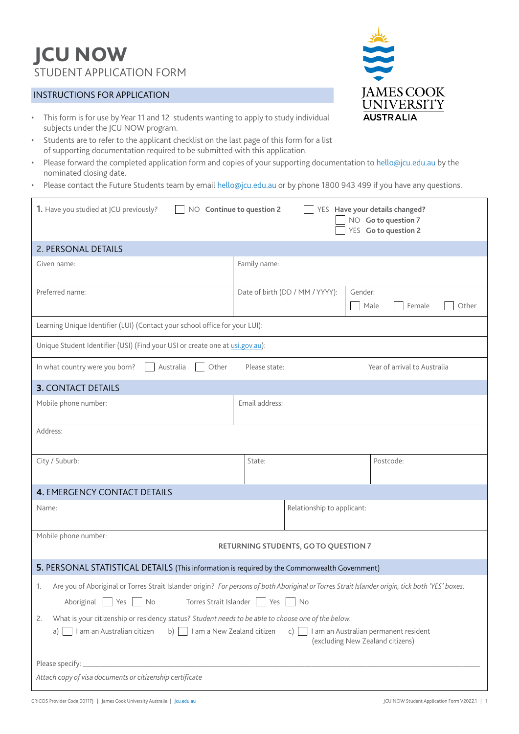# JCU NOW STUDENT APPLICATION FORM

# INSTRUCTIONS FOR APPLICATION

- This form is for use by Year 11 and 12 students wanting to apply to study individual subjects under the JCU NOW program.
- Students are to refer to the applicant checklist on the last page of this form for a list of supporting documentation required to be submitted with this application.
- Please forward the completed application form and copies of your supporting documentation to [hello@jcu.edu.au](mailto:hello%40jcu.edu.au?subject=JCU%20NOW%20Student%20Application) by the nominated closing date.
- Please contact the Future Students team by email hell[o@jcu.edu.au](mailto:hello%40jcu.edu.au?subject=) or by phone 1800 943 499 if you have any questions.

| 1. Have you studied at JCU previously?<br>NO Continue to question 2<br>YES Have your details changed?<br>NO Go to question 7<br>YES Go to question 2                                                                                                                                       |                                 |                                    |  |  |
|--------------------------------------------------------------------------------------------------------------------------------------------------------------------------------------------------------------------------------------------------------------------------------------------|---------------------------------|------------------------------------|--|--|
| 2. PERSONAL DETAILS                                                                                                                                                                                                                                                                        |                                 |                                    |  |  |
| Given name:                                                                                                                                                                                                                                                                                | Family name:                    |                                    |  |  |
| Preferred name:                                                                                                                                                                                                                                                                            | Date of birth (DD / MM / YYYY): | Gender:<br>Male<br>Other<br>Female |  |  |
| Learning Unique Identifier (LUI) (Contact your school office for your LUI):                                                                                                                                                                                                                |                                 |                                    |  |  |
| Unique Student Identifier (USI) (Find your USI or create one at usi.gov.au):                                                                                                                                                                                                               |                                 |                                    |  |  |
| Other<br>In what country were you born?<br>Australia                                                                                                                                                                                                                                       | Please state:                   | Year of arrival to Australia       |  |  |
| <b>3. CONTACT DETAILS</b>                                                                                                                                                                                                                                                                  |                                 |                                    |  |  |
| Mobile phone number:                                                                                                                                                                                                                                                                       | Email address:                  |                                    |  |  |
| Address:                                                                                                                                                                                                                                                                                   |                                 |                                    |  |  |
| City / Suburb:                                                                                                                                                                                                                                                                             | State:                          | Postcode:                          |  |  |
| <b>4. EMERGENCY CONTACT DETAILS</b>                                                                                                                                                                                                                                                        |                                 |                                    |  |  |
| Name:                                                                                                                                                                                                                                                                                      | Relationship to applicant:      |                                    |  |  |
| Mobile phone number:<br>RETURNING STUDENTS, GO TO QUESTION 7                                                                                                                                                                                                                               |                                 |                                    |  |  |
| 5. PERSONAL STATISTICAL DETAILS (This information is required by the Commonwealth Government)                                                                                                                                                                                              |                                 |                                    |  |  |
| 1. Are you of Aboriginal or Torres Strait Islander origin? For persons of both Aboriginal or Torres Strait Islander origin, tick both 'YES' boxes.<br>Torres Strait Islander   Yes<br>Aboriginal<br>Yes  <br>$\overline{\phantom{a}}$ No<br>No                                             |                                 |                                    |  |  |
| What is your citizenship or residency status? Student needs to be able to choose one of the below.<br>2.<br>b) $\Box$ I am a New Zealand citizen<br>I am an Australian citizen<br>c) $\boxed{\phantom{a}}$ I am an Australian permanent resident<br>a)<br>(excluding New Zealand citizens) |                                 |                                    |  |  |
| Attach copy of visa documents or citizenship certificate                                                                                                                                                                                                                                   |                                 |                                    |  |  |

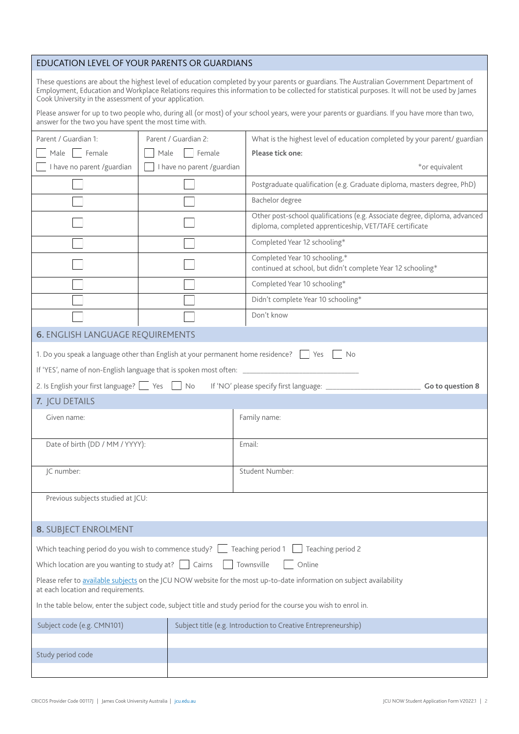# EDUCATION LEVEL OF YOUR PARENTS OR GUARDIANS

These questions are about the highest level of education completed by your parents or guardians. The Australian Government Department of Employment, Education and Workplace Relations requires this information to be collected for statistical purposes. It will not be used by James Cook University in the assessment of your application.

Please answer for up to two people who, during all (or most) of your school years, were your parents or guardians. If you have more than two, answer for the two you have spent the most time with.

| Female<br>Female<br>Male  <br>Male<br>Please tick one:<br>I have no parent /guardian<br>I have no parent /guardian<br>*or equivalent<br>Postgraduate qualification (e.g. Graduate diploma, masters degree, PhD)<br>Bachelor degree<br>Other post-school qualifications (e.g. Associate degree, diploma, advanced<br>diploma, completed apprenticeship, VET/TAFE certificate<br>Completed Year 12 schooling*<br>Completed Year 10 schooling,*<br>continued at school, but didn't complete Year 12 schooling*<br>Completed Year 10 schooling*<br>Didn't complete Year 10 schooling* |  |  |  |  |
|-----------------------------------------------------------------------------------------------------------------------------------------------------------------------------------------------------------------------------------------------------------------------------------------------------------------------------------------------------------------------------------------------------------------------------------------------------------------------------------------------------------------------------------------------------------------------------------|--|--|--|--|
|                                                                                                                                                                                                                                                                                                                                                                                                                                                                                                                                                                                   |  |  |  |  |
|                                                                                                                                                                                                                                                                                                                                                                                                                                                                                                                                                                                   |  |  |  |  |
|                                                                                                                                                                                                                                                                                                                                                                                                                                                                                                                                                                                   |  |  |  |  |
|                                                                                                                                                                                                                                                                                                                                                                                                                                                                                                                                                                                   |  |  |  |  |
|                                                                                                                                                                                                                                                                                                                                                                                                                                                                                                                                                                                   |  |  |  |  |
|                                                                                                                                                                                                                                                                                                                                                                                                                                                                                                                                                                                   |  |  |  |  |
|                                                                                                                                                                                                                                                                                                                                                                                                                                                                                                                                                                                   |  |  |  |  |
|                                                                                                                                                                                                                                                                                                                                                                                                                                                                                                                                                                                   |  |  |  |  |
|                                                                                                                                                                                                                                                                                                                                                                                                                                                                                                                                                                                   |  |  |  |  |
| Don't know                                                                                                                                                                                                                                                                                                                                                                                                                                                                                                                                                                        |  |  |  |  |
| <b>6. ENGLISH LANGUAGE REQUIREMENTS</b>                                                                                                                                                                                                                                                                                                                                                                                                                                                                                                                                           |  |  |  |  |
| 1. Do you speak a language other than English at your permanent home residence?<br><b>No</b><br>Yes                                                                                                                                                                                                                                                                                                                                                                                                                                                                               |  |  |  |  |
| If 'YES', name of non-English language that is spoken most often: _______________                                                                                                                                                                                                                                                                                                                                                                                                                                                                                                 |  |  |  |  |
| 2. Is English your first language? Yes No<br>If 'NO' please specify first language: ________<br>Go to question 8                                                                                                                                                                                                                                                                                                                                                                                                                                                                  |  |  |  |  |
| 7. JCU DETAILS                                                                                                                                                                                                                                                                                                                                                                                                                                                                                                                                                                    |  |  |  |  |
| Given name:<br>Family name:                                                                                                                                                                                                                                                                                                                                                                                                                                                                                                                                                       |  |  |  |  |
| Date of birth (DD / MM / YYYY):<br>Email:                                                                                                                                                                                                                                                                                                                                                                                                                                                                                                                                         |  |  |  |  |
|                                                                                                                                                                                                                                                                                                                                                                                                                                                                                                                                                                                   |  |  |  |  |
| JC number:<br>Student Number:                                                                                                                                                                                                                                                                                                                                                                                                                                                                                                                                                     |  |  |  |  |
| Previous subjects studied at JCU:                                                                                                                                                                                                                                                                                                                                                                                                                                                                                                                                                 |  |  |  |  |
|                                                                                                                                                                                                                                                                                                                                                                                                                                                                                                                                                                                   |  |  |  |  |
| 8. SUBJECT ENROLMENT                                                                                                                                                                                                                                                                                                                                                                                                                                                                                                                                                              |  |  |  |  |
| Which teaching period do you wish to commence study?<br>Teaching period 1<br>Teaching period 2                                                                                                                                                                                                                                                                                                                                                                                                                                                                                    |  |  |  |  |
| Which location are you wanting to study at? $\Box$ Cairns<br>Townsville<br>Online                                                                                                                                                                                                                                                                                                                                                                                                                                                                                                 |  |  |  |  |
| Please refer to available subjects on the JCU NOW website for the most up-to-date information on subject availability<br>at each location and requirements.                                                                                                                                                                                                                                                                                                                                                                                                                       |  |  |  |  |
| In the table below, enter the subject code, subject title and study period for the course you wish to enrol in.                                                                                                                                                                                                                                                                                                                                                                                                                                                                   |  |  |  |  |
|                                                                                                                                                                                                                                                                                                                                                                                                                                                                                                                                                                                   |  |  |  |  |
| Subject code (e.g. CMN101)<br>Subject title (e.g. Introduction to Creative Entrepreneurship)                                                                                                                                                                                                                                                                                                                                                                                                                                                                                      |  |  |  |  |
| Study period code                                                                                                                                                                                                                                                                                                                                                                                                                                                                                                                                                                 |  |  |  |  |
|                                                                                                                                                                                                                                                                                                                                                                                                                                                                                                                                                                                   |  |  |  |  |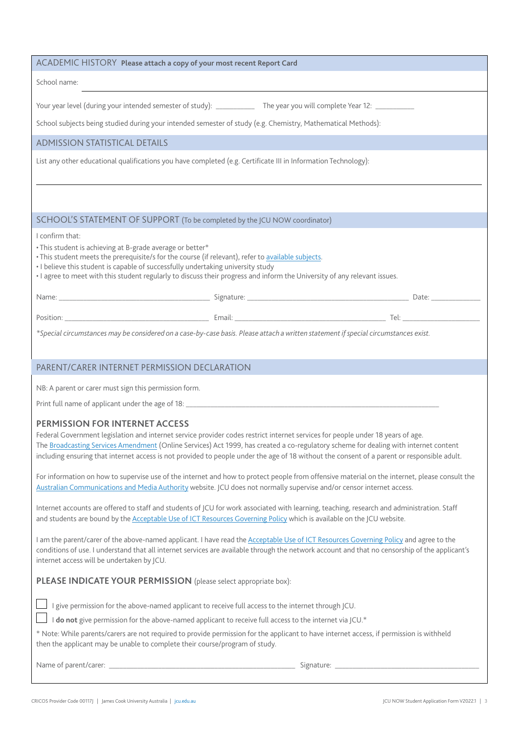| ACADEMIC HISTORY Please attach a copy of your most recent Report Card                                                                                                                                                                                                                                                                                                                                                                                    |                                                                                                                                     |  |  |  |
|----------------------------------------------------------------------------------------------------------------------------------------------------------------------------------------------------------------------------------------------------------------------------------------------------------------------------------------------------------------------------------------------------------------------------------------------------------|-------------------------------------------------------------------------------------------------------------------------------------|--|--|--|
| School name:                                                                                                                                                                                                                                                                                                                                                                                                                                             |                                                                                                                                     |  |  |  |
|                                                                                                                                                                                                                                                                                                                                                                                                                                                          | Your year level (during your intended semester of study): _____________ The year you will complete Year 12: __________              |  |  |  |
| School subjects being studied during your intended semester of study (e.g. Chemistry, Mathematical Methods):                                                                                                                                                                                                                                                                                                                                             |                                                                                                                                     |  |  |  |
| <b>ADMISSION STATISTICAL DETAILS</b>                                                                                                                                                                                                                                                                                                                                                                                                                     |                                                                                                                                     |  |  |  |
| List any other educational qualifications you have completed (e.g. Certificate III in Information Technology):                                                                                                                                                                                                                                                                                                                                           |                                                                                                                                     |  |  |  |
|                                                                                                                                                                                                                                                                                                                                                                                                                                                          |                                                                                                                                     |  |  |  |
| SCHOOL'S STATEMENT OF SUPPORT (To be completed by the JCU NOW coordinator)                                                                                                                                                                                                                                                                                                                                                                               |                                                                                                                                     |  |  |  |
| I confirm that:<br>• This student is achieving at B-grade average or better*<br>. This student meets the prerequisite/s for the course (if relevant), refer to available subjects.<br>. I believe this student is capable of successfully undertaking university study<br>· I agree to meet with this student regularly to discuss their progress and inform the University of any relevant issues.                                                      |                                                                                                                                     |  |  |  |
|                                                                                                                                                                                                                                                                                                                                                                                                                                                          |                                                                                                                                     |  |  |  |
|                                                                                                                                                                                                                                                                                                                                                                                                                                                          |                                                                                                                                     |  |  |  |
|                                                                                                                                                                                                                                                                                                                                                                                                                                                          | *Special circumstances may be considered on a case-by-case basis. Please attach a written statement if special circumstances exist. |  |  |  |
|                                                                                                                                                                                                                                                                                                                                                                                                                                                          |                                                                                                                                     |  |  |  |
| PARENT/CARER INTERNET PERMISSION DECLARATION                                                                                                                                                                                                                                                                                                                                                                                                             |                                                                                                                                     |  |  |  |
| NB: A parent or carer must sign this permission form.                                                                                                                                                                                                                                                                                                                                                                                                    |                                                                                                                                     |  |  |  |
| Print full name of applicant under the age of 18: ______________________________                                                                                                                                                                                                                                                                                                                                                                         |                                                                                                                                     |  |  |  |
| PERMISSION FOR INTERNET ACCESS<br>Federal Government legislation and internet service provider codes restrict internet services for people under 18 years of age.<br>The Broadcasting Services Amendment (Online Services) Act 1999, has created a co-regulatory scheme for dealing with internet content<br>including ensuring that internet access is not provided to people under the age of 18 without the consent of a parent or responsible adult. |                                                                                                                                     |  |  |  |
| For information on how to supervise use of the internet and how to protect people from offensive material on the internet, please consult the<br>Australian Communications and Media Authority website. JCU does not normally supervise and/or censor internet access.                                                                                                                                                                                   |                                                                                                                                     |  |  |  |
| Internet accounts are offered to staff and students of JCU for work associated with learning, teaching, research and administration. Staff<br>and students are bound by the Acceptable Use of ICT Resources Governing Policy which is available on the JCU website.                                                                                                                                                                                      |                                                                                                                                     |  |  |  |
| I am the parent/carer of the above-named applicant. I have read the Acceptable Use of ICT Resources Governing Policy and agree to the<br>conditions of use. I understand that all internet services are available through the network account and that no censorship of the applicant's<br>internet access will be undertaken by JCU.                                                                                                                    |                                                                                                                                     |  |  |  |
| PLEASE INDICATE YOUR PERMISSION (please select appropriate box):                                                                                                                                                                                                                                                                                                                                                                                         |                                                                                                                                     |  |  |  |
| I give permission for the above-named applicant to receive full access to the internet through JCU.                                                                                                                                                                                                                                                                                                                                                      |                                                                                                                                     |  |  |  |
| I do not give permission for the above-named applicant to receive full access to the internet via JCU.*                                                                                                                                                                                                                                                                                                                                                  |                                                                                                                                     |  |  |  |
| * Note: While parents/carers are not required to provide permission for the applicant to have internet access, if permission is withheld<br>then the applicant may be unable to complete their course/program of study.                                                                                                                                                                                                                                  |                                                                                                                                     |  |  |  |
|                                                                                                                                                                                                                                                                                                                                                                                                                                                          |                                                                                                                                     |  |  |  |